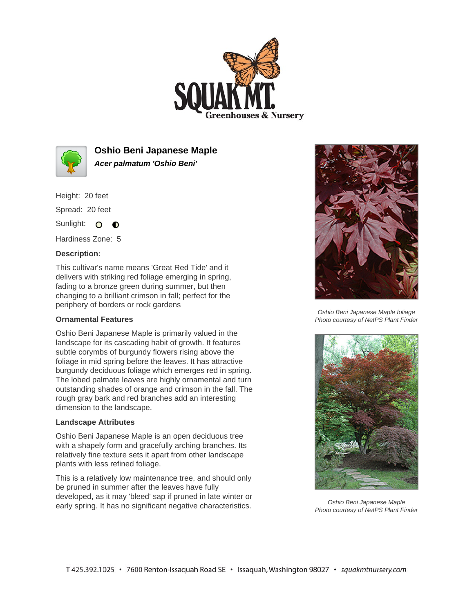



**Oshio Beni Japanese Maple Acer palmatum 'Oshio Beni'**

Height: 20 feet Spread: 20 feet

Sunlight: O **O** 

Hardiness Zone: 5

## **Description:**

This cultivar's name means 'Great Red Tide' and it delivers with striking red foliage emerging in spring, fading to a bronze green during summer, but then changing to a brilliant crimson in fall; perfect for the periphery of borders or rock gardens

## **Ornamental Features**

Oshio Beni Japanese Maple is primarily valued in the landscape for its cascading habit of growth. It features subtle corymbs of burgundy flowers rising above the foliage in mid spring before the leaves. It has attractive burgundy deciduous foliage which emerges red in spring. The lobed palmate leaves are highly ornamental and turn outstanding shades of orange and crimson in the fall. The rough gray bark and red branches add an interesting dimension to the landscape.

## **Landscape Attributes**

Oshio Beni Japanese Maple is an open deciduous tree with a shapely form and gracefully arching branches. Its relatively fine texture sets it apart from other landscape plants with less refined foliage.

This is a relatively low maintenance tree, and should only be pruned in summer after the leaves have fully developed, as it may 'bleed' sap if pruned in late winter or early spring. It has no significant negative characteristics.



Oshio Beni Japanese Maple foliage Photo courtesy of NetPS Plant Finder



Oshio Beni Japanese Maple Photo courtesy of NetPS Plant Finder